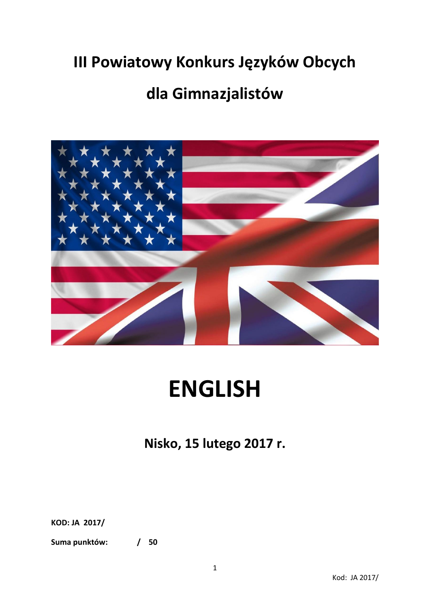# **III Powiatowy Konkurs Języków Obcych**

# **dla Gimnazjalistów**



# **ENGLISH**

**Nisko, 15 lutego 2017 r.**

**KOD: JA 2017/**

**Suma punktów: / 50**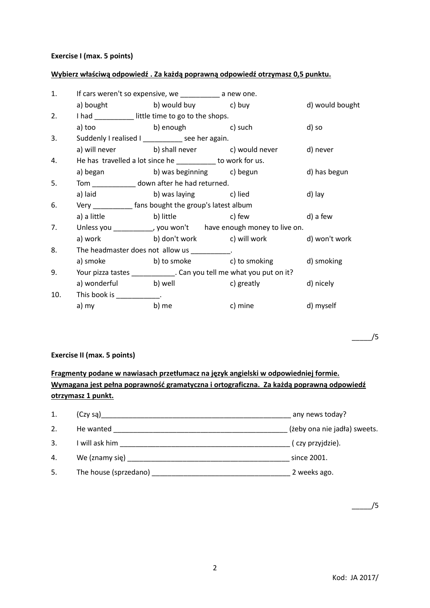#### **Exercise I (max. 5 points)**

#### **Wybierz właściwą odpowiedź . Za każdą poprawną odpowiedź otrzymasz 0,5 punktu.**

| 1.  | If cars weren't so expensive, we _____________ a new one.           |                                                               |         |                 |  |
|-----|---------------------------------------------------------------------|---------------------------------------------------------------|---------|-----------------|--|
|     |                                                                     | a) bought b) would buy b) buy                                 |         | d) would bought |  |
| 2.  |                                                                     | I had little time to go to the shops.                         |         |                 |  |
|     | a) too                                                              | b) enough b c) such                                           |         | d) so           |  |
| 3.  |                                                                     | Suddenly I realised I __________ see her again.               |         |                 |  |
|     |                                                                     | a) will never b) shall never c) would never d) never          |         |                 |  |
| 4.  | He has travelled a lot since he _________ to work for us.           |                                                               |         |                 |  |
|     |                                                                     | a) began b) was beginning c) begun                            |         | d) has begun    |  |
| 5.  | Tom ______________ down after he had returned.                      |                                                               |         |                 |  |
|     |                                                                     | a) laid b) was laying c) lied                                 |         | d) lay          |  |
| 6.  | Very _____________ fans bought the group's latest album             |                                                               |         |                 |  |
|     |                                                                     | a) a little b) little b c) few                                |         | d) a few        |  |
| 7.  |                                                                     | Unless you _________, you won't have enough money to live on. |         |                 |  |
|     |                                                                     | a) work b) don't work c) will work d) won't work              |         |                 |  |
| 8.  | The headmaster does not allow us ___________.                       |                                                               |         |                 |  |
|     |                                                                     | a) smoke b) to smoke c) to smoking d) smoking                 |         |                 |  |
| 9.  | Your pizza tastes ____________. Can you tell me what you put on it? |                                                               |         |                 |  |
|     |                                                                     | a) wonderful b) well b b b c) greatly                         |         | d) nicely       |  |
| 10. | This book is ___________.                                           |                                                               |         |                 |  |
|     | a) my b) me                                                         |                                                               | c) mine | d) myself       |  |

 $/5$ 

#### **Exercise II (max. 5 points)**

# **Fragmenty podane w nawiasach przetłumacz na język angielski w odpowiedniej formie. Wymagana jest pełna poprawność gramatyczna i ortograficzna. Za każdą poprawną odpowiedź otrzymasz 1 punkt.**

| 1. | $(Czy \sqcap)$                                                                                                                                                                                                                | any news today?              |
|----|-------------------------------------------------------------------------------------------------------------------------------------------------------------------------------------------------------------------------------|------------------------------|
| 2. | He wanted                                                                                                                                                                                                                     | (żeby ona nie jadła) sweets. |
| 3. | I will ask him                                                                                                                                                                                                                | (czy przyjdzie).             |
| 4. | We (znamy się) versiers in the control of the control of the control of the control of the control of the control of the control of the control of the control of the control of the control of the control of the control of | since 2001.                  |
| 5. | The house (sprzedano)                                                                                                                                                                                                         | 2 weeks ago.                 |

 $\overline{\phantom{a}}$ /5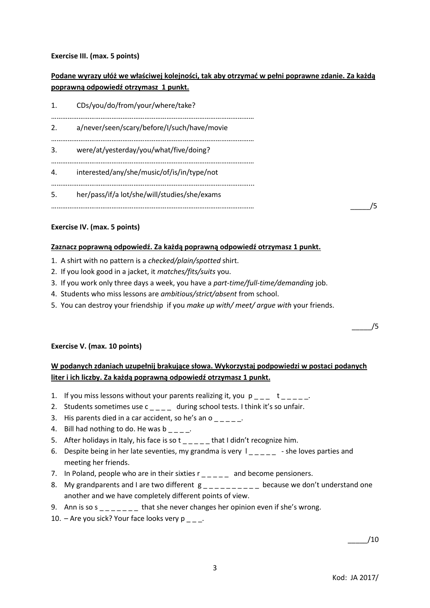#### **Exercise III. (max. 5 points)**

# **Podane wyrazy ułóż we właściwej kolejności, tak aby otrzymać w pełni poprawne zdanie. Za każdą poprawną odpowiedź otrzymasz 1 punkt.**

| 1. | CDs/you/do/from/your/where/take?             |  |
|----|----------------------------------------------|--|
| 2. | a/never/seen/scary/before/I/such/have/movie  |  |
| 3. | were/at/yesterday/you/what/five/doing?       |  |
| 4. | interested/any/she/music/of/is/in/type/not   |  |
| 5. | her/pass/if/a lot/she/will/studies/she/exams |  |

\_\_\_\_\_/5

#### **Exercise IV. (max. 5 points)**

#### **Zaznacz poprawną odpowiedź. Za każdą poprawną odpowiedź otrzymasz 1 punkt.**

- 1. A shirt with no pattern is a *checked/plain/spotted* shirt.
- 2. If you look good in a jacket, it *matches/fits/suits* you.
- 3. If you work only three days a week, you have a *part-time/full-time/demanding* job.
- 4. Students who miss lessons are *ambitious/strict/absent* from school.
- 5. You can destroy your friendship if you *make up with/ meet/ argue with* your friends.

**Exercise V. (max. 10 points)**

## **W podanych zdaniach uzupełnij brakujące słowa. Wykorzystaj podpowiedzi w postaci podanych liter i ich liczby. Za każdą poprawną odpowiedź otrzymasz 1 punkt.**

- 1. If you miss lessons without your parents realizing it, you  $p_{\text{max}}$  t \_\_\_\_\_.
- 2. Students sometimes use c during school tests. I think it's so unfair.
- 3. His parents died in a car accident, so he's an o  $\frac{1}{2}$
- 4. Bill had nothing to do. He was  $b_{\text{max}}$ .
- 5. After holidays in Italy, his face is so  $t_{\text{max}} = t$  that I didn't recognize him.
- 6. Despite being in her late seventies, my grandma is very  $1_{\text{max}}$  she loves parties and meeting her friends.
- 7. In Poland, people who are in their sixties  $r_{----}$  and become pensioners.
- 8. My grandparents and I are two different  $g_{\text{2}}$  =  $\text{2}}$  =  $\text{2}}$  =  $\text{2}}$  because we don't understand one another and we have completely different points of view.
- 9. Ann is so s  $\mu_{\text{max}} = 1$  that she never changes her opinion even if she's wrong.
- 10. Are you sick? Your face looks very  $p \cdot \cdot$ .

 $/10$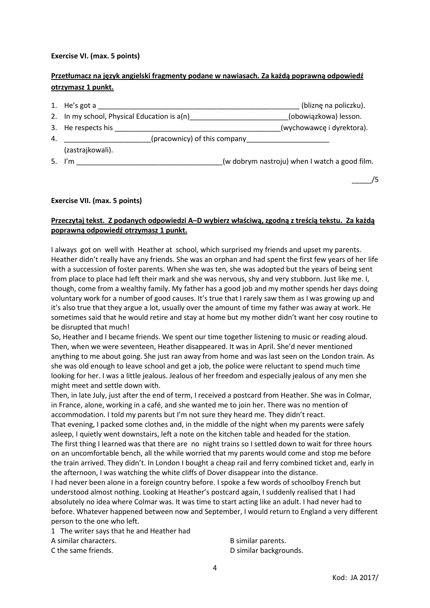#### **Exercise VI. (max. 5 points)**

## **Przetłumacz na język angielski fragmenty podane w nawiasach. Za każdą poprawną odpowiedź otrzymasz 1 punkt.**

|    | 1. He's got a                               | (bliznę na policzku).                         |
|----|---------------------------------------------|-----------------------------------------------|
|    | 2. In my school, Physical Education is a(n) | (obowiązkowa) lesson.                         |
|    | 3. He respects his                          | (wychowawcę i dyrektora).                     |
| 4. |                                             | (pracownicy) of this company                  |
|    | (zastrajkowali).                            |                                               |
|    | l'm                                         | (w dobrym nastroju) when I watch a good film. |

\_\_\_\_\_/5

#### **Exercise VII. (max. 5 points)**

#### **Przeczytaj tekst. Z podanych odpowiedzi A–D wybierz właściwą, zgodną z treścią tekstu. Za każdą poprawną odpowiedź otrzymasz 1 punkt.**

I always got on well with Heather at school, which surprised my friends and upset my parents. Heather didn't really have any friends. She was an orphan and had spent the first few years of her life with a succession of foster parents. When she was ten, she was adopted but the years of being sent from place to place had left their mark and she was nervous, shy and very stubborn. Just like me. I, though, come from a wealthy family. My father has a good job and my mother spends her days doing voluntary work for a number of good causes. It's true that I rarely saw them as I was growing up and it's also true that they argue a lot, usually over the amount of time my father was away at work. He sometimes said that he would retire and stay at home but my mother didn't want her cosy routine to be disrupted that much!

So, Heather and I became friends. We spent our time together listening to music or reading aloud. Then, when we were seventeen, Heather disappeared. It was in April. She'd never mentioned anything to me about going. She just ran away from home and was last seen on the London train. As she was old enough to leave school and get a job, the police were reluctant to spend much time looking for her. I was a little jealous. Jealous of her freedom and especially jealous of any men she might meet and settle down with.

Then, in late July, just after the end of term, I received a postcard from Heather. She was in Colmar, in France, alone, working in a café, and she wanted me to join her. There was no mention of accommodation. I told my parents but I'm not sure they heard me. They didn't react.

That evening, I packed some clothes and, in the middle of the night when my parents were safely asleep, I quietly went downstairs, left a note on the kitchen table and headed for the station. The first thing I learned was that there are no night trains so I settled down to wait for three hours on an uncomfortable bench, all the while worried that my parents would come and stop me before the train arrived. They didn't. In London I bought a cheap rail and ferry combined ticket and, early in the afternoon, I was watching the white cliffs of Dover disappear into the distance.

I had never been alone in a foreign country before. I spoke a few words of schoolboy French but understood almost nothing. Looking at Heather's postcard again, I suddenly realised that I had absolutely no idea where Colmar was. It was time to start acting like an adult. I had never had to before. Whatever happened between now and September, I would return to England a very different person to the one who left.

1 The writer says that he and Heather had A similar characters. B similar parents.

C the same friends. Changes of the same friends.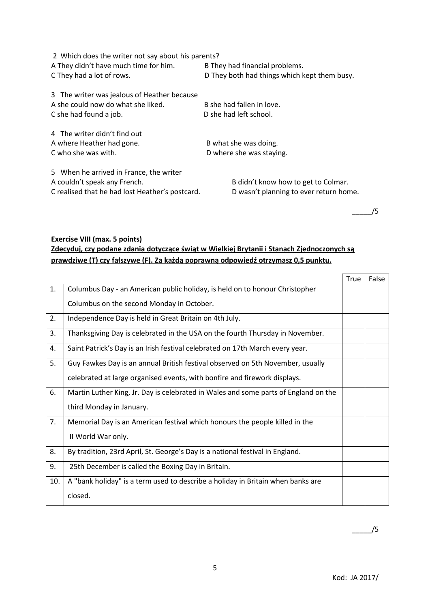| 2 Which does the writer not say about his parents?<br>A They didn't have much time for him.<br>C They had a lot of rows.   | B They had financial problems.<br>D They both had things which kept them busy. |
|----------------------------------------------------------------------------------------------------------------------------|--------------------------------------------------------------------------------|
| 3 The writer was jealous of Heather because<br>A she could now do what she liked.<br>C she had found a job.                | B she had fallen in love.<br>D she had left school.                            |
| 4 The writer didn't find out<br>A where Heather had gone.<br>C who she was with.                                           | B what she was doing.<br>D where she was staying.                              |
| 5 When he arrived in France, the writer<br>A couldn't speak any French.<br>C realised that he had lost Heather's postcard. | B didn't know how to get to Colmar.<br>D wasn't planning to ever return home.  |

 $/5$ 

## **Exercise VIII (max. 5 points) Zdecyduj, czy podane zdania dotyczące świąt w Wielkiej Brytanii i Stanach Zjednoczonych są prawdziwe (T) czy fałszywe (F). Za każdą poprawną odpowiedź otrzymasz 0,5 punktu.**

|     |                                                                                     | True | False |
|-----|-------------------------------------------------------------------------------------|------|-------|
| 1.  | Columbus Day - an American public holiday, is held on to honour Christopher         |      |       |
|     | Columbus on the second Monday in October.                                           |      |       |
| 2.  | Independence Day is held in Great Britain on 4th July.                              |      |       |
| 3.  | Thanksgiving Day is celebrated in the USA on the fourth Thursday in November.       |      |       |
| 4.  | Saint Patrick's Day is an Irish festival celebrated on 17th March every year.       |      |       |
| 5.  | Guy Fawkes Day is an annual British festival observed on 5th November, usually      |      |       |
|     | celebrated at large organised events, with bonfire and firework displays.           |      |       |
| 6.  | Martin Luther King, Jr. Day is celebrated in Wales and some parts of England on the |      |       |
|     | third Monday in January.                                                            |      |       |
| 7.  | Memorial Day is an American festival which honours the people killed in the         |      |       |
|     | II World War only.                                                                  |      |       |
| 8.  | By tradition, 23rd April, St. George's Day is a national festival in England.       |      |       |
| 9.  | 25th December is called the Boxing Day in Britain.                                  |      |       |
| 10. | A "bank holiday" is a term used to describe a holiday in Britain when banks are     |      |       |
|     | closed.                                                                             |      |       |

 $\frac{1}{\sqrt{5}}$